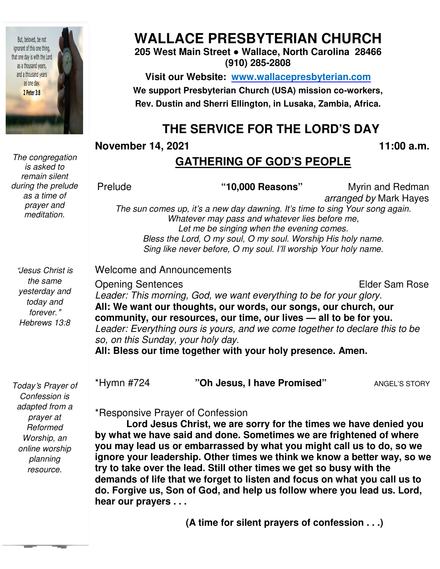

*The congregation is asked to remain silent during the prelude as a time of prayer and meditation.* 

"*Jesus Christ is the same yesterday and today and forever.*" *Hebrews 13:8* 

*Today*'*s Prayer of Confession is adapted from a prayer at Reformed Worship, an online worship planning resource.* 

# **WALLACE PRESBYTERIAN CHURCH**

**205 West Main Street ● Wallace, North Carolina 28466 (910) 285-2808** 

**Visit our Website: www.wallacepresbyterian.com** We support Presbyterian Church (USA) mission co-workers, **Rev. Dustin and Sherri Ellington, in Lusaka, Zambia, Africa. Sherri Ellington,** 

# **THE SERVICE FOR THE LORD'S DAY**

#### **November 14, 2021**

#### **, 11:00 a.m .**

## **GATHERING OF GOD'S PEOPLE**

Prelude

"10,000 Reasons" Myrin and Redman

arranged by Mark Hayes

*The sun comes up, it's a new day dawning. It's time to sing Your song again.*<br>
Whatever may pass and whatever lies before me,<br>
Let me be singing when the evening comes.<br>
Bless the Lord, O my soul, O my soul. Worship His h *Whatever may pass and whatever lies before me, Let me be singing when the evening comes. Bless the Lord, O my soul, O my soul. Worship His holy name. Sing like never before, O my soul. I'll worship Your holy name.*

Welcome and Announcements and Announcements

Opening Sentences Leader: This morning, God, we want everything to be for your glory. **All: We want our thoughts, our words, our songs, our church, our**  All: We want our thoughts, our words, our songs, our church, our<br>community, our resources, our time, our lives — all to be for you. Leader: Everything ours is yours, and we come together to declare this to be *so, on this Sunday, your holy day. : Sunday,* Elder Sam Rose Sam

**All: Bless our time together with your holy presence. Amen.<br>\*Hymn #724 ''Oh Jesus, I have Promised'' ANGEL'S STORY** 

\*Hymn #724 **"Oh Jesus, I have Promised**

**ANGEL'S STORY** 

\*Responsive Prayer of Confession Prayer

**Lord Jesus Christ, we are sorry for the times we have denied you by what we have said and done. Sometimes we are frightened of where you may lead us or embarrassed by what you might call us to do, so we ignore your leadership. Other times we think we know a better way, so we know a try to take over the lead. Still other times demands of life that we forget to listen and focus on what you call us to do. Forgive us, Son of God, and help us follow where you lead us. Lord, hear our prayers . . .**  of life that we forget to listen and focus on what you c<br>e us, Son of God, and help us follow where you lead u<br>rayers . . .<br>(A time for silent prayers of confession . . .) Lord Jesus Christ, we are sorry for the times we have deninat we have said and done. Sometimes we are frightened of **may** lead us or embarrassed by what you might call us to do, re your leadership. Other times we think we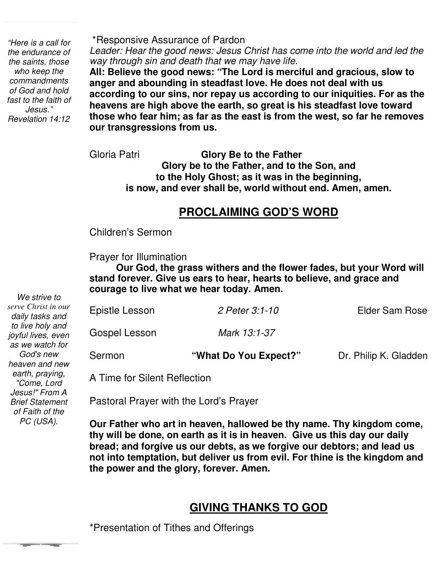*"Here is a call for the endurance of the saints, those who keep the commandments of God and hold fast to the faith of Jesus." Revelation 14:12* 

\*Responsive Assurance of Pardon

*Leader: Hear the good news: Jesus Christ has come into the world and led the way through sin and death that we may have life.*

**All: Believe the good news: "The Lord is merciful and gracious, slow to anger and abounding in steadfast love. He does not deal with us according to our sins, nor repay us according to our iniquities. For as the heavens are high above the earth, so great is his steadfast love toward those who fear him; as far as the east is from the west, so far he removes our transgressions from us.** 

 **is now, and ever shall be, world without end. Amen, amen.**  Gloria Patri **Glory Be to the Father Glory be to the Father, and to the Son, and to the Holy Ghost; as it was in the beginning,** 

### **PROCLAIMING GOD'S WORD**

 $\mathbf{r}$ Children's Sermon

Prayer for Illumination

 **Our God, the grass withers and the flower fades, but your Word will stand forever. Give us ears to hear, hearts to believe, and grace and courage to live what we hear today. Amen.** 

| Sermon         | "What Do You Expect?" | Dr. Philip K. Gladden |
|----------------|-----------------------|-----------------------|
| Gospel Lesson  | Mark 13:1-37          |                       |
| Epistle Lesson | 2 Peter 3:1-10        | Elder Sam Rose        |

A Time for Silent Reflection

Pastoral Prayer with the Lord's Prayer

 **thy will be done, on earth as it is in heaven. Give us this day our daily Our Father who art in heaven, hallowed be thy name. Thy kingdom come, bread; and forgive us our debts, as we forgive our debtors; and lead us not into temptation, but deliver us from evil. For thine is the kingdom and the power and the glory, forever. Amen.**

## **GIVING THANKS TO GOD**

\*Presentation of Tithes and Offerings

*We strive to serve Christ in our daily tasks and to live holy and joyful lives, even as we watch for God's new heaven and new earth, praying, "Come, Lord Jesus!" From A Brief Statement of Faith of the PC (USA).*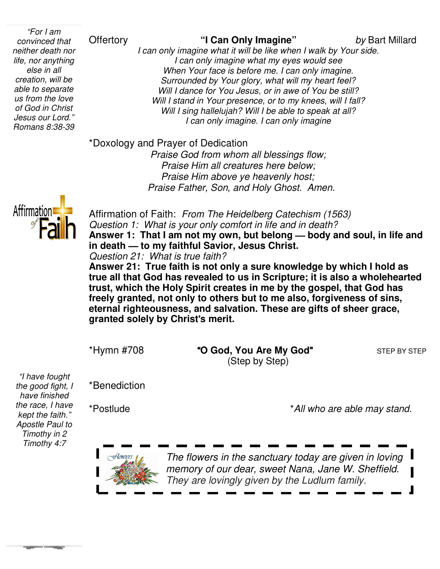#### **Offertory**

 *able to separate "For I am convinced that neither death nor life, nor anything else in all creation, will be us from the love of God in Christ Jesus our Lord." Romans 8:38-39* 

by Bart Millard

*I can only imagine what it will I can only imagine what my eyes would see When Your face is before me. I hen Your face I can only imagine. Surrounded by Your glory, what will my heart feel? Will I dance for You Jesus, or in awe of You be still? Surrounded by Your glory, what will my heart feel?*<br>*Will I dance for You Jesus, or in awe of You be still?*<br>*Will I stand in Your presence, or to my knees, will I fall? Will I sing hallelujah? Will I be able to speak at all?*<br>I can only imagine. I can only imagine *I can only imagine. I can only imagine at* Offertory  *<sup>41</sup> Can Only Imagine by Bart Millar*<br> *I can only imagine what it will be like when I walk by Your side.*<br> *I can only imagine what my eyes would see*<br> *When Your face is before me. I can only imagine it be like when I walk by Your side.* 

\*Doxology and Prayer of Dedication

 *Praise God from whom all blessings flow; Praise Him all creatures here below; Praise Him above ye heavenly host; Praise Father, Son, and Holy Ghost. Amen. Praise Him all creatures here below;<br>Praise Him above ye heavenly host;<br>Praise Father, Son, and Holy Ghost. Amen.*<br>Affirmation of Faith: *From The Heidelberg Catechism (15*<br>Question 1: What is your only comfort in life an



Affirmation of Faith: *From The Heidelberg Catechism (1563)* Answer 1: That I am not my own, but belong - body and soul, in life and **in death** — **to my faithful Savior, Jesus Christ.** *Question 21: What is true faith?*

**Answer 21: True faith is not only a sure knowledge by which I hold as**  Answer 21: True faith is not only a sure knowledge by which I hold as<br>true all that God has revealed to us in Scripture; it is also a wholehearted **trust, which the Holy Spirit creates in me by the gospel, that God has freely granted, not only to others but to me also, forgiveness of sins, eternal righteousness, and salvation. These are gifts of sheer gra granted solely by Christ**' '**s merit.**  Answer 21: True faith is not only a sure knowledge by which I hold a<br>true all that God has revealed to us in Scripture; it is also a wholehea<br>trust, which the Holy Spirit creates in me by the gospel, that God has<br>freely gr *mrounded by Your glory, walt will my heat reel terms of Your Jesus, or in awe of You be sill?*<br> *mil dance for You Jesus, or in awe of You be sill?*<br> *Istand in Your presence, or to my knees, will I fall?*<br> *istand in You* 

\*Hymn #708 "

"**O God, You Are My God**"STEP BY STEP (Step by Step)

*"I have fought the good fight, I have finished the race, I have kept the faith." Apostle Paul to Timothy in 2 Timothy 4:7*

\*Benediction

\*Postlude

\**All who are able may stand. who* 



*The flowers in the sanctuary today are given in loving memory of our dear, sweet Nana, Jane W. Sheffield. They are lovingly given by the Ludlum family.*